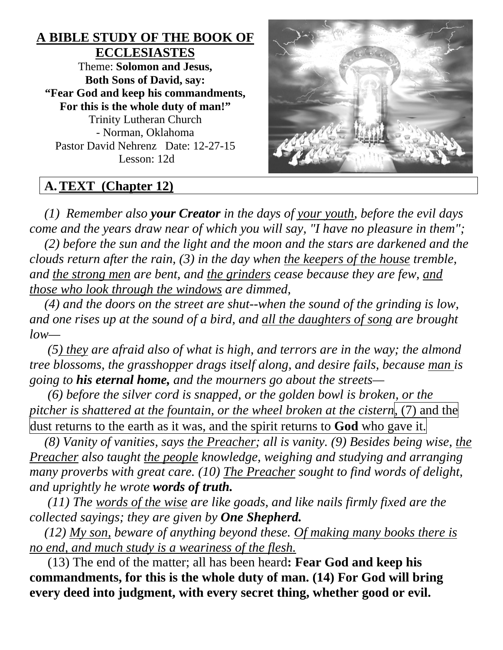## **A BIBLE STUDY OF THE BOOK OF ECCLESIASTES** Theme: **Solomon and Jesus, Both Sons of David, say: "Fear God and keep his commandments, For this is the whole duty of man!"** Trinity Lutheran Church - Norman, Oklahoma Pastor David Nehrenz Date: 12-27-15 Lesson: 12d



# **A.TEXT (Chapter 12)**

*(1) Remember also your Creator in the days of your youth, before the evil days come and the years draw near of which you will say, "I have no pleasure in them";* 

*(2) before the sun and the light and the moon and the stars are darkened and the clouds return after the rain, (3) in the day when the keepers of the house tremble, and the strong men are bent, and the grinders cease because they are few, and those who look through the windows are dimmed,* 

*(4) and the doors on the street are shut--when the sound of the grinding is low, and one rises up at the sound of a bird, and all the daughters of song are brought low—*

*(5) they are afraid also of what is high, and terrors are in the way; the almond tree blossoms, the grasshopper drags itself along, and desire fails, because man is going to his eternal home, and the mourners go about the streets—*

*(6) before the silver cord is snapped, or the golden bowl is broken, or the pitcher is shattered at the fountain, or the wheel broken at the cistern*, (7) and the dust returns to the earth as it was, and the spirit returns to **God** who gave it.

*(8) Vanity of vanities, says the Preacher; all is vanity. (9) Besides being wise, the Preacher also taught the people knowledge, weighing and studying and arranging many proverbs with great care. (10) The Preacher sought to find words of delight, and uprightly he wrote words of truth.*

*(11) The words of the wise are like goads, and like nails firmly fixed are the collected sayings; they are given by One Shepherd.* 

*(12) My son, beware of anything beyond these. Of making many books there is no end, and much study is a weariness of the flesh.*

(13) The end of the matter; all has been heard**: Fear God and keep his commandments, for this is the whole duty of man. (14) For God will bring every deed into judgment, with every secret thing, whether good or evil.**